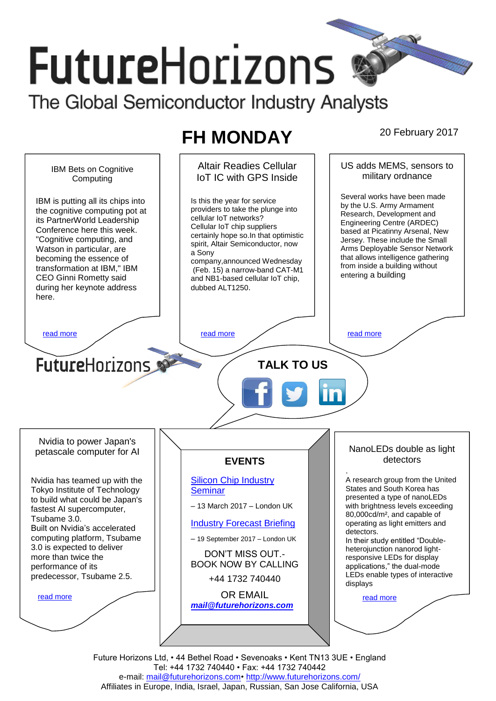# **FutureHorizons**

The Global Semiconductor Industry Analysts

## **FH MONDAY** 20 February 2017

Altair Readies Cellular US adds MEMS, sensors to IBM Bets on Cognitive military ordnance IoT IC with GPS Inside **Computing** Several works have been made IBM is putting all its chips into Is this the year for service by the U.S. Army Armament providers to take the plunge into the cognitive computing pot at Research, Development and cellular IoT networks? its PartnerWorld Leadership Engineering Centre (ARDEC) Cellular IoT chip suppliers Conference here this week. based at Picatinny Arsenal, New certainly hope so.In that optimistic "Cognitive computing, and Jersey. These include the Small spirit, Altair Semiconductor, now Arms Deployable Sensor Network Watson in particular, are a Sony that allows intelligence gathering becoming the essence of company,announced Wednesday from inside a building without transformation at IBM," IBM (Feb. 15) a narrow-band CAT-M1 entering a building CEO Ginni Rometty said and NB1-based cellular IoT chip, during her keynote address dubbed ALT1250. here. [read more](#page-1-1) that the second contract the second contract of the read more that the read more that the read more **Future**Horizons **TALK TO US** Nvidia to power Japan's NanoLEDs double as light petascale computer for AI detectors **EVENTS** . [Silicon Chip Industry](http://www.futurehorizons.com/page/12/silicon-chip-training)  A research group from the United Nvidia has teamed up with the States and South Korea has Tokyo Institute of Technology **[Seminar](http://www.futurehorizons.com/page/12/silicon-chip-training)** presented a type of nanoLEDs to build what could be Japan's – 13 March 2017 – London UK with brightness levels exceeding fastest AI supercomputer, 80,000cd/m², and capable of Tsubame 3.0. [Industry Forecast Briefing](http://www.futurehorizons.com/page/13/Semiconductor-Market-Forecast-Seminar) operating as light emitters and Built on Nvidia's accelerated detectors. computing platform, Tsubame – 19 September 2017 – London UK In their study entitled "Double-3.0 is expected to deliver heterojunction nanorod light-DON'T MISS OUT. more than twice the responsive LEDs for display BOOK NOW BY CALLING performance of its applications," the dual-mode LEDs enable types of interactive predecessor, Tsubame 2.5.+44 1732 740440 displays OR EMAIL [read more](#page-1-3) [read more](#page-1-4) *[mail@futurehorizons.com](mailto:mail@futurehorizons.com)*

Future Horizons Ltd, • 44 Bethel Road • Sevenoaks • Kent TN13 3UE • England Tel: +44 1732 740440 • Fax: +44 1732 740442 e-mail: mail@futurehorizons.com• http://www.futurehorizons.com/ Affiliates in Europe, India, Israel, Japan, Russian, San Jose California, USA